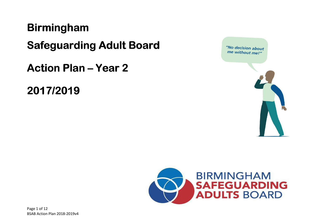# **Birmingham**

**Safeguarding Adult Board** 

**Action Plan – Year 2** 

2017/2019



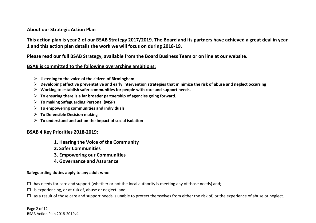#### About our Strategic Action Plan

This action plan is year 2 of our BSAB Strategy 2017/2019. The Board and its partners have achieved a great deal in year 1 and this action plan details the work we will focus on during 2018-19.

Please read our full BSAB Strategy, available from the Board Business Team or on line at our website.

#### BSAB is committed to the following overarching ambitions:

- $\triangleright$  Listening to the voice of the citizen of Birmingham
- $\triangleright$  Developing effective preventative and early intervention strategies that minimize the risk of abuse and neglect occurring  $\triangleright$  Merking to actablish as for assuminize for assuming  $\triangleright$
- $\triangleright$  Working to establish safer communities for people with care and support needs.
- $\triangleright$  To ensuring there is a far broader partnership of agencies going forward.
- To making Safeguarding Personal (MSP)
- $\triangleright$  To empowering communities and individuals
- **►** To Defensible Decision making
- $\triangleright$  To understand and act on the impact of social isolation

#### BSAB 4 Key Priorities 2018-2019:

- 1. Hearing the Voice of the Community
- 2. Safer Communities
- 3. Empowering our Communities
- 4. Governance and Assurance

#### Safeguarding duties apply to any adult who:

- □ has needs for care and support (whether or not the local authority is meeting any of those needs) and;<br>□
- □ is experiencing, or at risk of, abuse or neglect; and
- □ as a result of those care and support needs is unable to protect themselves from either the risk of, or the experience of abuse or neglect.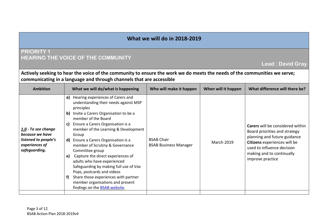# PRIORITY 1HEARING THE VOICE OF THE COMMUNITY

Lead : David Gray

Actively seeking to hear the voice of the community to ensure the work we do meets the needs of the communities we serve; communicating in a language and through channels that are accessible

| <b>Ambition</b>                                                                                   | What we will do/what is happening                                                                                                                                                                                                                                                                                                                                                                                                                                                                                                                                                                                                   | Who will make it happen                           | When will it happen | What difference will there be?                                                                                                                                                                                          |
|---------------------------------------------------------------------------------------------------|-------------------------------------------------------------------------------------------------------------------------------------------------------------------------------------------------------------------------------------------------------------------------------------------------------------------------------------------------------------------------------------------------------------------------------------------------------------------------------------------------------------------------------------------------------------------------------------------------------------------------------------|---------------------------------------------------|---------------------|-------------------------------------------------------------------------------------------------------------------------------------------------------------------------------------------------------------------------|
| 1.0 - To see change<br>because we have<br>listened to people's<br>experiences of<br>safeguarding. | a) Hearing experiences of Carers and<br>understanding their needs against MSP<br>principles<br>b) Invite a Carers Organisation to be a<br>member of the Board<br>Ensure a Carers Organisation is a<br>C)<br>member of the Learning & Development<br>Group<br><b>d)</b> Ensure a Carers Organisation is a<br>member of Scrutiny & Governance<br>Committee group<br>Capture the direct experiences of<br>e)<br>adults who have experienced<br>Safeguarding by making full use of Vox<br>Pops, postcards and videos<br>Share those experiences with partner<br>t)<br>member organisations and present<br>findings on the BSAB website. | <b>BSAB Chair</b><br><b>BSAB Business Manager</b> | <b>March 2019</b>   | <b>Carers</b> will be considered within<br>Board priorities and strategy<br>planning and future guidance<br>Citizens experiences will be<br>used to influence decision<br>making and to continually<br>improve practice |
|                                                                                                   |                                                                                                                                                                                                                                                                                                                                                                                                                                                                                                                                                                                                                                     |                                                   |                     |                                                                                                                                                                                                                         |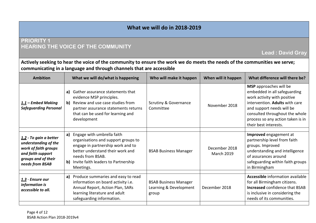# PRIORITY 1HEARING THE VOICE OF THE COMMUNITY

Lead : David Gray

Actively seeking to hear the voice of the community to ensure the work we do meets the needs of the communities we serve; communicating in a language and through channels that are accessible

| <b>Ambition</b>                                                                                                                       | What we will do/what is happening                                                                                                                                                                                        | Who will make it happen                                         | When will it happen                | What difference will there be?                                                                                                                                                                                                                              |
|---------------------------------------------------------------------------------------------------------------------------------------|--------------------------------------------------------------------------------------------------------------------------------------------------------------------------------------------------------------------------|-----------------------------------------------------------------|------------------------------------|-------------------------------------------------------------------------------------------------------------------------------------------------------------------------------------------------------------------------------------------------------------|
| <u>1.1</u> – Embed Making<br><b>Safeguarding Personal</b>                                                                             | Gather assurance statements that<br>a)<br>evidence MSP principles.<br>b) Review and use case studies from<br>partner assurance statements returns<br>that can be used for learning and<br>development                    | <b>Scrutiny &amp; Governance</b><br>Committee                   | November 2018                      | <b>MSP</b> approaches will be<br>embedded in all safeguarding<br>work activity with positive<br>intervention. Adults with care<br>and support needs will be<br>consulted throughout the whole<br>process so any action taken is in<br>their best interests. |
| 1.2 - To gain a better<br>understanding of the<br>work of faith groups<br>and faith support<br>groups and of their<br>needs from BSAB | a) Engage with umbrella faith<br>organisations and support groups to<br>engage in partnership work and to<br>better understand their work and<br>needs from BSAB.<br>b) Invite faith leaders to Partnership<br>Meetings. | <b>BSAB Business Manager</b>                                    | December 2018<br><b>March 2019</b> | Improved engagement at<br>partnership level from faith<br>groups. Improved<br>understanding and intelligence<br>of assurances around<br>safeguarding within faith groups<br>in Birmingham                                                                   |
| <u> 1.3</u> - Ensure our<br>information is<br>accessible to all.                                                                      | a) Produce summaries and easy to read<br>information on board activity i.e.<br>Annual Report, Action Plan, SARs<br>learning literature and adult<br>safeguarding information.                                            | <b>BSAB Business Manager</b><br>Learning & Development<br>group | December 2018                      | <b>Accessible</b> information available<br>for all Birmingham citizens.<br><b>Increased confidence that BSAB</b><br>is inclusive in considering the<br>needs of its communities.                                                                            |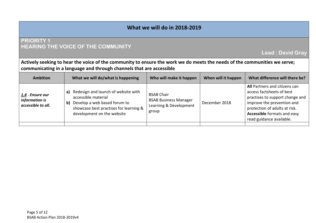# PRIORITY 1HEARING THE VOICE OF THE COMMUNITY

Lead : David Gray

Actively seeking to hear the voice of the community to ensure the work we do meets the needs of the communities we serve; communicating in a language and through channels that are accessible

| <b>Ambition</b>                                          | What we will do/what is happening                                                                                                                                              | Who will make it happen                                                              | When will it happen | What difference will there be?                                                                                                                                                                                                 |
|----------------------------------------------------------|--------------------------------------------------------------------------------------------------------------------------------------------------------------------------------|--------------------------------------------------------------------------------------|---------------------|--------------------------------------------------------------------------------------------------------------------------------------------------------------------------------------------------------------------------------|
| 1.4 - Ensure our<br>information is<br>accessible to all. | Redesign and launch of website with<br>a)<br>accessible material<br>Develop a web based forum to<br>b)<br>showcase best practises for learning &<br>development on the website | <b>BSAB Chair</b><br><b>BSAB Business Manager</b><br>Learning & Development<br>group | December 2018       | All Partners and citizens can<br>access factsheets of best<br>practises to support change and<br>improve the prevention and<br>protection of adults at risk.<br><b>Accessible</b> formats and easy<br>read guidance available. |
|                                                          |                                                                                                                                                                                |                                                                                      |                     |                                                                                                                                                                                                                                |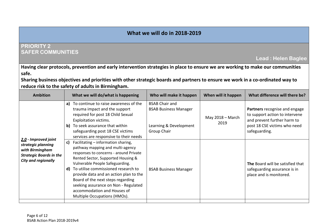## PRIORITY 2SAFER COMMUNITIES

Lead : Helen Baglee

Having clear protocols, prevention and early intervention strategies in place to ensure we are working to make our communities safe.

Sharing business objectives and priorities with other strategic boards and partners to ensure we work in a co-ordinated way to reduce risk to the safety of adults in Birmingham.

| <b>Ambition</b>                                                                                                               | What we will do/what is happening                                                                                                                                                                                                                                                                                                                                                                                                   | Who will make it happen                                                                        | When will it happen               | What difference will there be?                                                                                                                  |
|-------------------------------------------------------------------------------------------------------------------------------|-------------------------------------------------------------------------------------------------------------------------------------------------------------------------------------------------------------------------------------------------------------------------------------------------------------------------------------------------------------------------------------------------------------------------------------|------------------------------------------------------------------------------------------------|-----------------------------------|-------------------------------------------------------------------------------------------------------------------------------------------------|
|                                                                                                                               | To continue to raise awareness of the<br>a)<br>trauma impact and the support<br>required for post 18 Child Sexual<br>Exploitation victims.<br>b) To seek assurance that within<br>safeguarding post 18 CSE victims<br>services are responsive to their needs                                                                                                                                                                        | <b>BSAB Chair and</b><br><b>BSAB Business Manager</b><br>Learning & Development<br>Group Chair | May $2018 - \text{March}$<br>2019 | Partners recognise and engage<br>to support action to intervene<br>and prevent further harm to<br>post 18 CSE victims who need<br>safeguarding. |
| 2.0 - Improved joint<br>strategic planning<br>with Birmingham<br><b>Strategic Boards in the</b><br><b>City and regionally</b> | Facilitating - information sharing,<br>c)<br>pathway mapping and multi-agency<br>responses to concerns - around Private<br>Rented Sector, Supported Housing &<br>Vulnerable People Safeguarding.<br>To utilise commissioned research to<br>d)<br>provide data and an action plan to the<br>Board of the next steps regarding<br>seeking assurance on Non - Regulated<br>accommodation and Houses of<br>Multiple Occupations (HMOs). | <b>BSAB Business Manager</b>                                                                   |                                   | The Board will be satisfied that<br>safeguarding assurance is in<br>place and is monitored.                                                     |
|                                                                                                                               |                                                                                                                                                                                                                                                                                                                                                                                                                                     |                                                                                                |                                   |                                                                                                                                                 |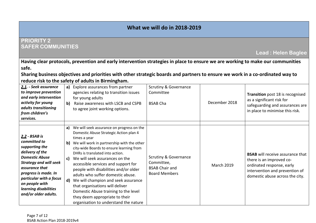#### PRIORITY 2SAFER COMMUNITIES

Having clear protocols, prevention and early intervention strategies in place to ensure we are working to make our communities safe.

Sharing business objectives and priorities with other strategic boards and partners to ensure we work in a co-ordinated way to reduce risk to the safety of adults in Birmingham.

| 2.1. - Seek assurance<br>to improve prevention<br>and early intervention<br>activity for young<br>adults transitioning<br>from children's<br>services.                                                                                                               | a)<br>$\mathbf{b}$             | Explore assurances from partner<br>agencies relating to transition issues<br>for young adults<br>Raise awareness with LSCB and CSPB<br>to agree joint working options.                                                                                                                                                                                                                                                                                                                                                                                                               | <b>Scrutiny &amp; Governance</b><br>Committee<br><b>BSAB Cha</b>                     | December 2018     | Transition post 18 is recognised<br>as a significant risk for<br>safeguarding and assurances are<br>in place to minimise this risk.                                   |
|----------------------------------------------------------------------------------------------------------------------------------------------------------------------------------------------------------------------------------------------------------------------|--------------------------------|--------------------------------------------------------------------------------------------------------------------------------------------------------------------------------------------------------------------------------------------------------------------------------------------------------------------------------------------------------------------------------------------------------------------------------------------------------------------------------------------------------------------------------------------------------------------------------------|--------------------------------------------------------------------------------------|-------------------|-----------------------------------------------------------------------------------------------------------------------------------------------------------------------|
| 2.2 - BSAB is<br>committed to<br>supporting the<br>delivery of the<br><b>Domestic Abuse</b><br><b>Strategy and will seek</b><br>assurance that<br>progress is made. In<br>particular with a focus<br>on people with<br>learning disabilities<br>and/or older adults. | a)<br>$\mathbf{b}$<br>c)<br>d) | We will seek assurance on progress on the<br>Domestic Abuse Strategic Action plan 4<br>times a year<br>We will work in partnership with the other<br>city-wide Boards to ensure learning from<br>DHRs is translated into action.<br>We will seek assurances on the<br>accessible services and support for<br>people with disabilities and/or older<br>adults who suffer domestic abuse.<br>We will champion and seek assurance<br>that organisations will deliver<br>Domestic Abuse training to the level<br>they deem appropriate to their<br>organisation to understand the nature | Scrutiny & Governance<br>Committee,<br><b>BSAB Chair and</b><br><b>Board Members</b> | <b>March 2019</b> | <b>BSAB</b> will receive assurance that<br>there is an improved co-<br>ordinated response, early<br>intervention and prevention of<br>domestic abuse across the city. |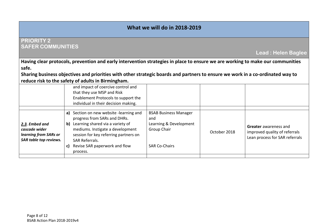### PRIORITY 2SAFER COMMUNITIES

Lead : Helen Baglee

Having clear protocols, prevention and early intervention strategies in place to ensure we are working to make our communities safe.

Sharing business objectives and priorities with other strategic boards and partners to ensure we work in a co-ordinated way to reduce risk to the safety of adults in Birmingham.

|                                                                                    | and impact of coercive control and<br>that they use MSP and Risk<br>Enablement Protocols to support the<br>individual in their decision making.                                                                                                                                      |                                                                                                      |              |                                                                                                 |
|------------------------------------------------------------------------------------|--------------------------------------------------------------------------------------------------------------------------------------------------------------------------------------------------------------------------------------------------------------------------------------|------------------------------------------------------------------------------------------------------|--------------|-------------------------------------------------------------------------------------------------|
| 2.3. Embed and<br>cascade wider<br>learning from SARs or<br>SAR table top reviews. | a) Section on new website -learning and<br>progress from SARs and DHRs.<br>Learning shared via a variety of<br>$\mathbf{b}$<br>mediums. Instigate a development<br>session for key referring partners on<br><b>SAR Referrals.</b><br>Revise SAR paperwork and flow<br>C)<br>process. | <b>BSAB Business Manager</b><br>and<br>Learning & Development<br>Group Chair<br><b>SAR Co-Chairs</b> | October 2018 | <b>Greater</b> awareness and<br>improved quality of referrals<br>Lean process for SAR referrals |
|                                                                                    |                                                                                                                                                                                                                                                                                      |                                                                                                      |              |                                                                                                 |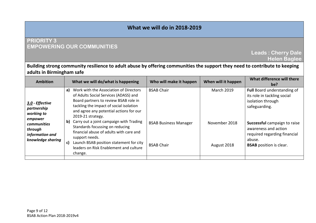## PRIORITY 3EMPOWERING OUR COMMUNITIES

Leads : Cherry DaleHelen Baglee

#### Building strong community resilience to adult abuse by offering communities the support they need to contribute to keeping adults in Birmingham safe

| <b>Ambition</b>                                                                  | What we will do/what is happening                                                                                                                                                                                                                   | Who will make it happen                           | When will it happen          | What difference will there<br>be?                                                                                                |
|----------------------------------------------------------------------------------|-----------------------------------------------------------------------------------------------------------------------------------------------------------------------------------------------------------------------------------------------------|---------------------------------------------------|------------------------------|----------------------------------------------------------------------------------------------------------------------------------|
| 3.0 - Effective<br>partnership<br>working to                                     | a) Work with the Association of Directors<br>of Adults Social Services (ADASS) and<br>Board partners to review BSAB role in<br>tackling the impact of social isolation<br>and agree any potential actions for our<br>2019-21 strategy.              | <b>BSAB Chair</b>                                 | <b>March 2019</b>            | Full Board understanding of<br>its role in tackling social<br>isolation through<br>safeguarding.                                 |
| empower<br><b>communities</b><br>through<br>information and<br>knowledge sharing | Carry out a joint campaign with Trading<br>b)<br>Standards focussing on reducing<br>financial abuse of adults with care and<br>support needs.<br>Launch BSAB position statement for city<br>C)<br>leaders on Risk Enablement and culture<br>change. | <b>BSAB Business Manager</b><br><b>BSAB Chair</b> | November 2018<br>August 2018 | Successful campaign to raise<br>awareness and action<br>required regarding financial<br>abuse.<br><b>BSAB</b> position is clear. |
|                                                                                  |                                                                                                                                                                                                                                                     |                                                   |                              |                                                                                                                                  |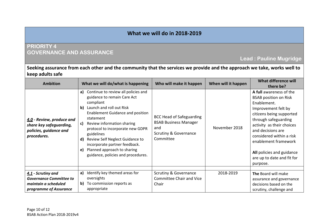#### PRIORITY 4GOVERNANCE AND ASSURANCE

# Lead : Pauline Mugridge

#### Seeking assurance from each other and the community that the services we provide and the approach we take, works well to keep adults safe

| <b>Ambition</b>                                                                               | What we will do/what is happening                                                                                                                                                                                                                                                                                                                                                                                                    | Who will make it happen                                                                                          | When will it happen | What difference will<br>there be?                                                                                                                                                                                                                                                                                              |
|-----------------------------------------------------------------------------------------------|--------------------------------------------------------------------------------------------------------------------------------------------------------------------------------------------------------------------------------------------------------------------------------------------------------------------------------------------------------------------------------------------------------------------------------------|------------------------------------------------------------------------------------------------------------------|---------------------|--------------------------------------------------------------------------------------------------------------------------------------------------------------------------------------------------------------------------------------------------------------------------------------------------------------------------------|
| 4.0 - Review, produce and<br>share key safeguarding,<br>policies, guidance and<br>procedures. | Continue to review all policies and<br>a)<br>guidance to remain Care Act<br>compliant<br>Launch and roll out Risk<br>b)<br><b>Enablement Guidance and position</b><br>statement<br>Review information sharing<br>C)<br>protocol to incorporate new GDPR<br>guidelines<br>Review Self Neglect Guidance to<br>$\mathsf{d}$<br>incorporate partner feedback.<br>Planned approach to sharing<br>e)<br>guidance, policies and procedures. | BCC Head of Safeguarding<br><b>BSAB Business Manager</b><br>and<br><b>Scrutiny &amp; Governance</b><br>Committee | November 2018       | A full awareness of the<br><b>BSAB position on Risk</b><br>Enablement.<br>Improvement felt by<br>citizens being supported<br>through safeguarding<br>activity as their choices<br>and decisions are<br>considered within a risk<br>enablement framework<br>All policies and guidance<br>are up to date and fit for<br>purpose. |
| 4.1 - Scrutiny and                                                                            | Identify key themed areas for<br>a)                                                                                                                                                                                                                                                                                                                                                                                                  | <b>Scrutiny &amp; Governance</b>                                                                                 | 2018-2019           | The Board will make                                                                                                                                                                                                                                                                                                            |
| <b>Governance Committee to</b><br>maintain a scheduled<br>programme of Assurance              | oversights<br>b)<br>To commission reports as<br>appropriate                                                                                                                                                                                                                                                                                                                                                                          | <b>Committee Chair and Vice</b><br>Chair                                                                         |                     | assurance and governance<br>decisions based on the<br>scrutiny, challenge and                                                                                                                                                                                                                                                  |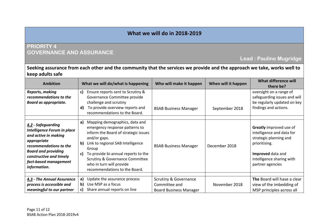### PRIORITY 4GOVERNANCE AND ASSURANCE

# Lead : Pauline Mugridge

#### Seeking assurance from each other and the community that the services we provide and the approach we take, works well to keep adults safe

| <b>Ambition</b>                                                                                                                                                                                                             | What we will do/what is happening                                                                                                                                                                                                                                                                                                                    | Who will make it happen                                                            | When will it happen | What difference will<br>there be?                                                                                                                                            |
|-----------------------------------------------------------------------------------------------------------------------------------------------------------------------------------------------------------------------------|------------------------------------------------------------------------------------------------------------------------------------------------------------------------------------------------------------------------------------------------------------------------------------------------------------------------------------------------------|------------------------------------------------------------------------------------|---------------------|------------------------------------------------------------------------------------------------------------------------------------------------------------------------------|
| <b>Reports, making</b><br>recommendations to the<br><b>Board as appropriate.</b>                                                                                                                                            | c)<br>Ensure reports sent to Scrutiny &<br>Governance Committee provide<br>challenge and scrutiny<br>To provide overview reports and<br>d)<br>recommendations to the Board.                                                                                                                                                                          | <b>BSAB Business Manager</b>                                                       | September 2018      | oversight on a range of<br>safeguarding issues and will<br>be regularly updated on key<br>findings and actions.                                                              |
| 4.2 - Safeguarding<br><b>Intelligence Forum in place</b><br>and active in making<br>appropriate<br>recommendations to the<br><b>Board and providing</b><br>constructive and timely<br>fact-based management<br>information. | Mapping demographics, data and<br>a)<br>emergency response patterns to<br>inform the Board of strategic issues<br>and/or gaps.<br>Link to regional SAB Intelligence<br>$\mathbf{b}$<br>Group<br>To provide bi-annual reports to the<br>c)<br><b>Scrutiny &amp; Governance Committee</b><br>who in turn will provide<br>recommendations to the Board. | <b>BSAB Business Manager</b>                                                       | December 2018       | <b>Greatly</b> improved use of<br>intelligence and data for<br>strategic planning and<br>prioritising.<br>Improved data and<br>intelligence sharing with<br>partner agencies |
| 4.3 - The Annual Assurance<br>process is accessible and<br>meaningful to our partner                                                                                                                                        | Update the assurance process<br>a)<br>Use MSP as a focus<br>b)<br>Share annual reports on line<br>c)                                                                                                                                                                                                                                                 | <b>Scrutiny &amp; Governance</b><br>Committee and<br><b>Board Business Manager</b> | November 2018       | The Board will have a clear<br>view of the imbedding of<br>MSP principles across all                                                                                         |